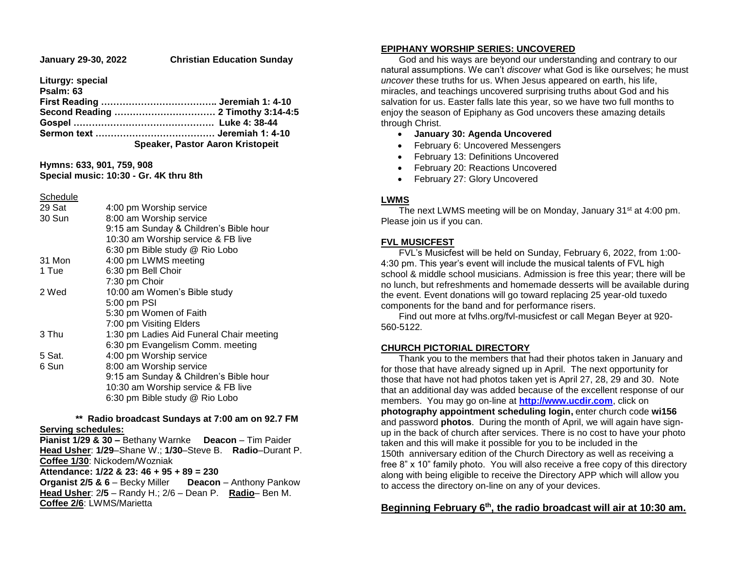#### **January 29-30, 2022 Christian Education Sunday**

**Liturgy: special** 

**Psalm: 63**

| Speaker, Pastor Aaron Kristopeit |
|----------------------------------|

**Hymns: 633, 901, 759, 908 Special music: 10:30 - Gr. 4K thru 8th**

**Schedule** 

| 29 Sat | 4:00 pm Worship service                  |
|--------|------------------------------------------|
| 30 Sun | 8:00 am Worship service                  |
|        | 9:15 am Sunday & Children's Bible hour   |
|        | 10:30 am Worship service & FB live       |
|        | 6:30 pm Bible study @ Rio Lobo           |
| 31 Mon | 4:00 pm LWMS meeting                     |
| 1 Tue  | 6:30 pm Bell Choir                       |
|        | 7:30 pm Choir                            |
| 2 Wed  | 10:00 am Women's Bible study             |
|        | 5:00 pm PSI                              |
|        | 5:30 pm Women of Faith                   |
|        | 7:00 pm Visiting Elders                  |
| 3 Thu  | 1:30 pm Ladies Aid Funeral Chair meeting |
|        | 6:30 pm Evangelism Comm. meeting         |
| 5 Sat. | 4:00 pm Worship service                  |
| 6 Sun  | 8:00 am Worship service                  |
|        | 9:15 am Sunday & Children's Bible hour   |
|        | 10:30 am Worship service & FB live       |
|        | 6:30 pm Bible study @ Rio Lobo           |
|        |                                          |

#### **\*\* Radio broadcast Sundays at 7:00 am on 92.7 FM Serving schedules:**

**Pianist 1/29 & 30 –** Bethany Warnke **Deacon** – Tim Paider **Head Usher**: **1/29**–Shane W.; **1/30**–Steve B. **Radio**–Durant P. **Coffee 1/30**: Nickodem/Wozniak **Attendance: 1/22 & 23: 46 + 95 + 89 = 230 Organist 2/5 & 6** – Becky Miller **Deacon** – Anthony Pankow **Head Usher**: 2**/5** – Randy H.; 2/6 – Dean P. **Radio**– Ben M. **Coffee 2/6**: LWMS/Marietta

### **EPIPHANY WORSHIP SERIES: UNCOVERED**

 God and his ways are beyond our understanding and contrary to our natural assumptions. We can't *discover* what God is like ourselves; he must *uncover* these truths for us. When Jesus appeared on earth, his life, miracles, and teachings uncovered surprising truths about God and his salvation for us. Easter falls late this year, so we have two full months to enjoy the season of Epiphany as God uncovers these amazing details through Christ.

- **January 30: Agenda Uncovered**
- February 6: Uncovered Messengers
- February 13: Definitions Uncovered
- February 20: Reactions Uncovered
- February 27: Glory Uncovered

## **LWMS**

The next LWMS meeting will be on Monday, January 31<sup>st</sup> at 4:00 pm. Please join us if you can.

## **FVL MUSICFEST**

 FVL's Musicfest will be held on Sunday, February 6, 2022, from 1:00- 4:30 pm. This year's event will include the musical talents of FVL high school & middle school musicians. Admission is free this year; there will be no lunch, but refreshments and homemade desserts will be available during the event. Event donations will go toward replacing 25 year-old tuxedo components for the band and for performance risers.

 Find out more at fvlhs.org/fvl-musicfest or call Megan Beyer at 920- 560-5122.

## **CHURCH PICTORIAL DIRECTORY**

 Thank you to the members that had their photos taken in January and for those that have already signed up in April. The next opportunity for those that have not had photos taken yet is April 27, 28, 29 and 30. Note that an additional day was added because of the excellent response of our members. You may go on-line at **[http://www.ucdir.com](https://linkprotect.cudasvc.com/url?a=http%3a%2f%2fwww.ucdir.com&c=E,1,LguF0amOl0hpYWDksCWgnaFR1Fb-kByyOHx1QO2B_3rUycSiva6hteD2CJnBwyvf9MsRFZklvVh0bBNK7g7wKrq_VfB0vW8FkmbnWxX0KA3aBsDA5w9iR4EIlSol&typo=1&ancr_add=1)**, click on **photography appointment scheduling login,** enter church code **wi156** and password **photos**. During the month of April, we will again have signup in the back of church after services. There is no cost to have your photo taken and this will make it possible for you to be included in the 150th anniversary edition of the Church Directory as well as receiving a free 8" x 10" family photo. You will also receive a free copy of this directory along with being eligible to receive the Directory APP which will allow you to access the directory on-line on any of your devices.

## **Beginning February 6th, the radio broadcast will air at 10:30 am.**